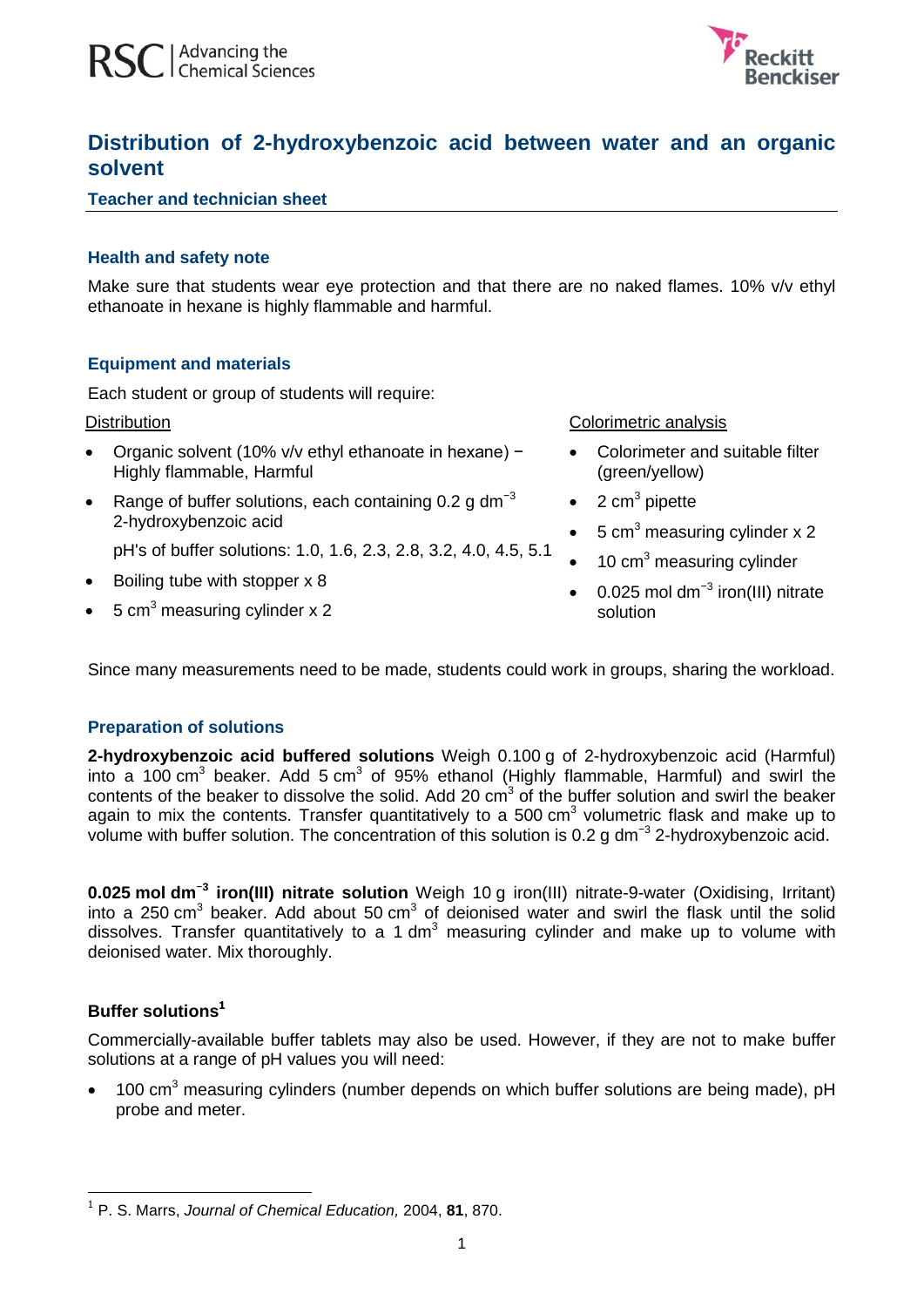

# **Distribution of 2-hydroxybenzoic acid between water and an organic solvent**

## **Teacher and technician sheet**

## **Health and safety note**

Make sure that students wear eye protection and that there are no naked flames. 10% y/y ethyl ethanoate in hexane is highly flammable and harmful.

## **Equipment and materials**

Each student or group of students will require:

#### **Distribution**

- Organic solvent (10% v/v ethyl ethanoate in hexane) − Highly flammable, Harmful
- Range of buffer solutions, each containing 0.2 g dm<sup>-3</sup> 2-hydroxybenzoic acid
	- pH's of buffer solutions: 1.0, 1.6, 2.3, 2.8, 3.2, 4.0, 4.5, 5.1
- Boiling tube with stopper x 8
- 5 cm<sup>3</sup> measuring cylinder x 2

Colorimetric analysis

- Colorimeter and suitable filter (green/yellow)
- $\bullet$  2 cm<sup>3</sup> pipette
- 5 cm<sup>3</sup> measuring cylinder x 2
- 10 cm<sup>3</sup> measuring cylinder
- 0.025 mol dm<sup>-3</sup> iron(III) nitrate solution

Since many measurements need to be made, students could work in groups, sharing the workload.

## **Preparation of solutions**

**2-hydroxybenzoic acid buffered solutions** Weigh 0.100 g of 2-hydroxybenzoic acid (Harmful) into a 100 cm<sup>3</sup> beaker. Add 5 cm<sup>3</sup> of 95% ethanol (Highly flammable, Harmful) and swirl the contents of the beaker to dissolve the solid. Add 20  $cm<sup>3</sup>$  of the buffer solution and swirl the beaker again to mix the contents. Transfer quantitatively to a 500 cm<sup>3</sup> volumetric flask and make up to volume with buffer solution. The concentration of this solution is 0.2 g dm<sup>-3</sup> 2-hydroxybenzoic acid.

**0.025 mol dm**<sup>−</sup>**<sup>3</sup> iron(III) nitrate solution** Weigh 10 g iron(III) nitrate-9-water (Oxidising, Irritant) into a 250 cm<sup>3</sup> beaker. Add about 50 cm<sup>3</sup> of deionised water and swirl the flask until the solid dissolves. Transfer quantitatively to a 1 dm<sup>3</sup> measuring cylinder and make up to volume with deionised water. Mix thoroughly.

## **Buffer solutions 1**

-

Commercially-available buffer tablets may also be used. However, if they are not to make buffer solutions at a range of pH values you will need:

 $\bullet$  100 cm<sup>3</sup> measuring cylinders (number depends on which buffer solutions are being made), pH probe and meter.

<sup>1</sup> P. S. Marrs, *Journal of Chemical Education,* 2004, **81**, 870.